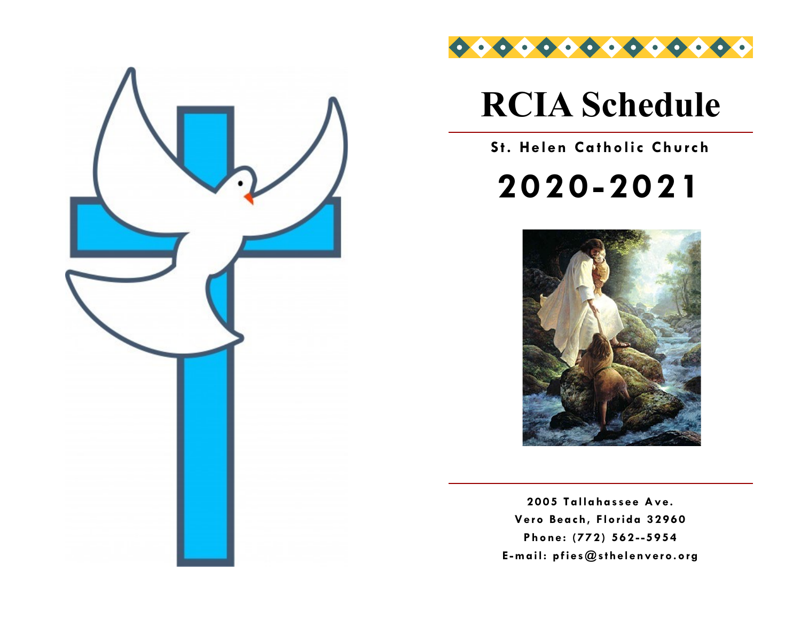



# **RCIA Schedule**

## **St. Helen Catholic Church**

**2020-2021**



**2005 Tallahassee Ave. Vero Beach, Florida 32960 Phone: (772) 562 --5954 E -mail: pfies@sthelenvero.org**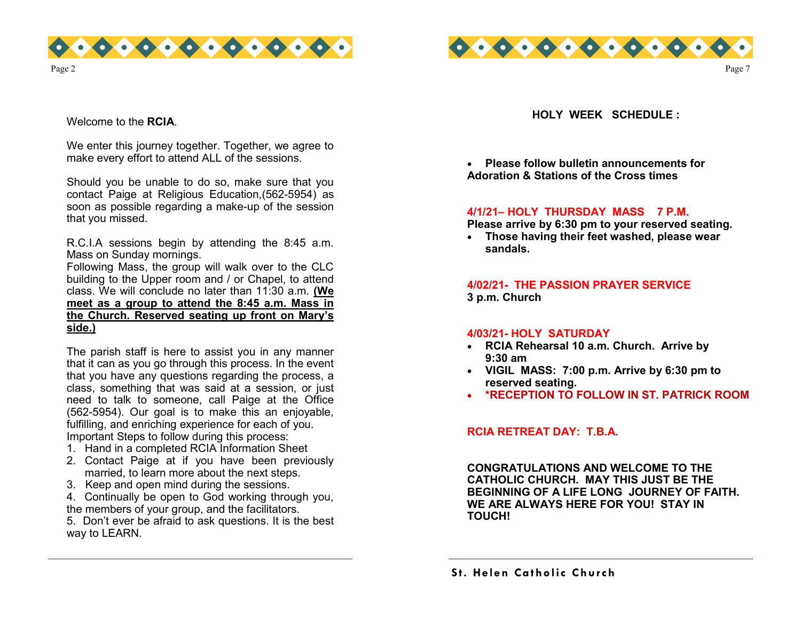



Welcome to the **RCIA**.

We enter this journey together. Together, we agree to make every effort to attend ALL of the sessions.

Should you be unable to do so, make sure that you contact Paige at Religious Education,(562-5954) as soon as possible regarding a make-up of the session that you missed.

R.C.I.A sessions begin by attending the 8:45 a.m. Mass on Sunday mornings.

Following Mass, the group will walk over to the CLC building to the Upper room and / or Chapel, to attend class. We will conclude no later than 11:30 a.m. **(We meet as a group to attend the 8:45 a.m. Mass in the Church. Reserved seating up front on Mary's side.)** 

The parish staff is here to assist you in any manner that it can as you go through this process. In the event that you have any questions regarding the process, a class, something that was said at a session, or just need to talk to someone, call Paige at the Office (562-5954). Our goal is to make this an enjoyable, fulfilling, and enriching experience for each of you. Important Steps to follow during this process:

- 1. Hand in a completed RCIA Information Sheet
- 2. Contact Paige at if you have been previously married, to learn more about the next steps.
- 3. Keep and open mind during the sessions.
- 4. Continually be open to God working through you, the members of your group, and the facilitators.

5. Don't ever be afraid to ask questions. It is the best way to LEARN.

**HOLY WEEK SCHEDULE :**

Page 7

• **Please follow bulletin announcements for Adoration & Stations of the Cross times** 

#### **4/1/21– HOLY THURSDAY MASS 7 P.M.**

**Please arrive by 6:30 pm to your reserved seating.**

• **Those having their feet washed, please wear sandals.**

**4/02/21- THE PASSION PRAYER SERVICE 3 p.m. Church** 

#### **4/03/21- HOLY SATURDAY**

- **RCIA Rehearsal 10 a.m. Church. Arrive by 9:30 am**
- **VIGIL MASS: 7:00 p.m. Arrive by 6:30 pm to reserved seating.**
- **\*RECEPTION TO FOLLOW IN ST. PATRICK ROOM**

#### **RCIA RETREAT DAY: T.B.A.**

**CONGRATULATIONS AND WELCOME TO THE CATHOLIC CHURCH. MAY THIS JUST BE THE BEGINNING OF A LIFE LONG JOURNEY OF FAITH. WE ARE ALWAYS HERE FOR YOU! STAY IN TOUCH!**

**S t. Helen Catholic Church**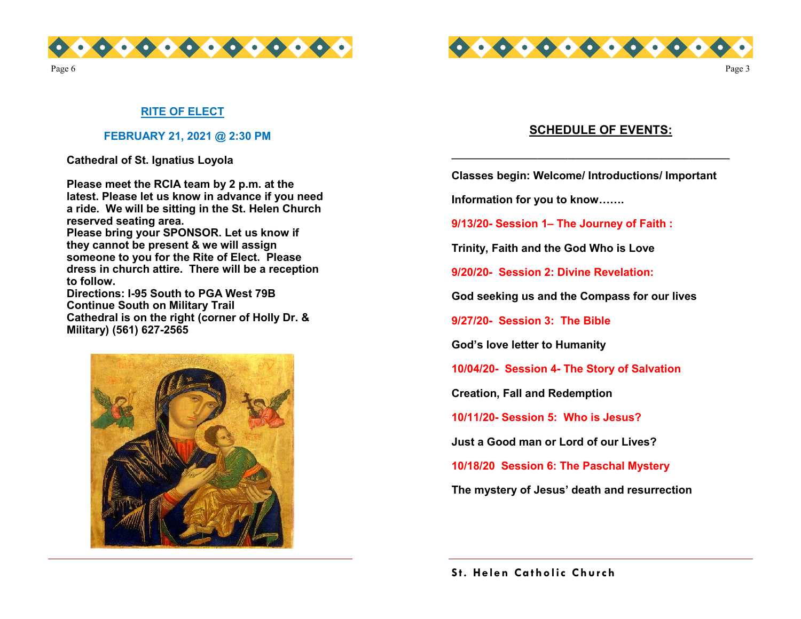



Page 3

#### **RITE OF ELECT**

#### **FEBRUARY 21, 2021 @ 2:30 PM**

**Cathedral of St. Ignatius Loyola** 

**Please meet the RCIA team by 2 p.m. at the latest. Please let us know in advance if you need a ride. We will be sitting in the St. Helen Church reserved seating area. Please bring your SPONSOR. Let us know if they cannot be present & we will assign someone to you for the Rite of Elect. Please dress in church attire. There will be a reception to follow. Directions: I-95 South to PGA West 79B Continue South on Military Trail Cathedral is on the right (corner of Holly Dr. & Military) (561) 627-2565**



#### **SCHEDULE OF EVENTS:**

**Classes begin: Welcome/ Introductions/ Important** 

**\_\_\_\_\_\_\_\_\_\_\_\_\_\_\_\_\_\_\_\_\_\_\_\_\_\_\_\_\_\_\_\_\_\_\_\_\_\_\_\_\_\_\_\_\_\_\_\_\_\_\_\_\_\_\_**

**Information for you to know…….**

**9/13/20- Session 1– The Journey of Faith :**

**Trinity, Faith and the God Who is Love**

**9/20/20- Session 2: Divine Revelation:**

**God seeking us and the Compass for our lives**

**9/27/20- Session 3: The Bible**

**God's love letter to Humanity** 

**10/04/20- Session 4- The Story of Salvation** 

**Creation, Fall and Redemption** 

**10/11/20- Session 5: Who is Jesus?** 

**Just a Good man or Lord of our Lives?**

**10/18/20 Session 6: The Paschal Mystery** 

**The mystery of Jesus' death and resurrection**

**S t. Helen Catholic Church**